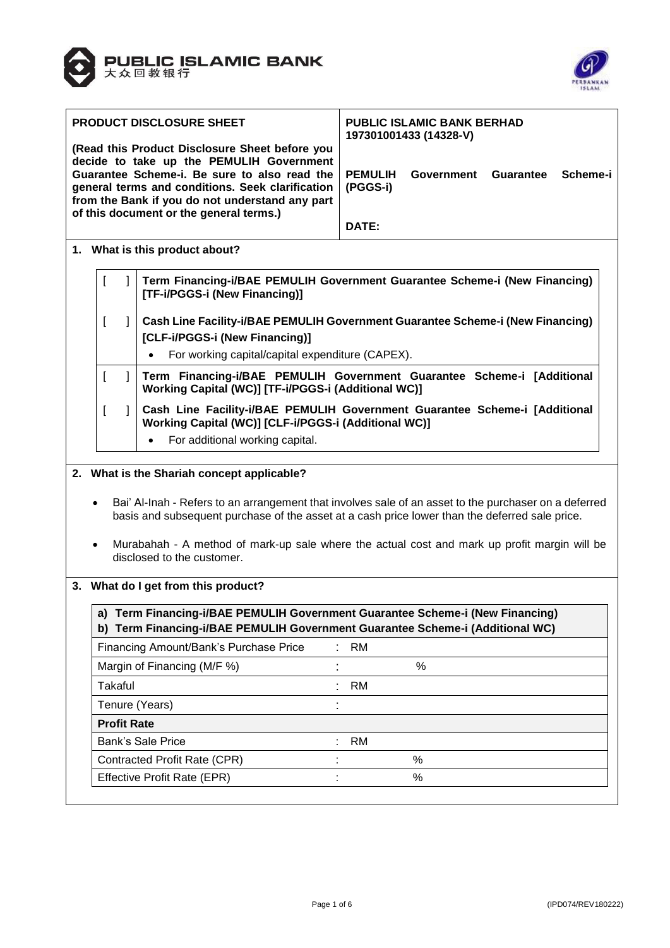



| PRODUCT DISCLOSURE SHEET                                                                                                                                                                       |                    |              |                                                                                                                                                                                                         | <b>PUBLIC ISLAMIC BANK BERHAD</b><br>197301001433 (14328-V) |            |                              |  |
|------------------------------------------------------------------------------------------------------------------------------------------------------------------------------------------------|--------------------|--------------|---------------------------------------------------------------------------------------------------------------------------------------------------------------------------------------------------------|-------------------------------------------------------------|------------|------------------------------|--|
| (Read this Product Disclosure Sheet before you<br>decide to take up the PEMULIH Government<br>Guarantee Scheme-i. Be sure to also read the<br>general terms and conditions. Seek clarification |                    |              |                                                                                                                                                                                                         | <b>PEMULIH</b><br>(PGGS-i)                                  | Government | <b>Guarantee</b><br>Scheme-i |  |
|                                                                                                                                                                                                |                    |              | from the Bank if you do not understand any part<br>of this document or the general terms.)                                                                                                              | DATE:                                                       |            |                              |  |
|                                                                                                                                                                                                |                    |              | 1. What is this product about?                                                                                                                                                                          |                                                             |            |                              |  |
|                                                                                                                                                                                                |                    |              | Term Financing-i/BAE PEMULIH Government Guarantee Scheme-i (New Financing)<br>[TF-i/PGGS-i (New Financing)]                                                                                             |                                                             |            |                              |  |
|                                                                                                                                                                                                |                    | 1            | Cash Line Facility-i/BAE PEMULIH Government Guarantee Scheme-i (New Financing)                                                                                                                          |                                                             |            |                              |  |
|                                                                                                                                                                                                |                    |              | [CLF-i/PGGS-i (New Financing)]                                                                                                                                                                          |                                                             |            |                              |  |
|                                                                                                                                                                                                |                    |              | For working capital/capital expenditure (CAPEX).<br>$\bullet$                                                                                                                                           |                                                             |            |                              |  |
|                                                                                                                                                                                                | $\mathfrak l$      | $\mathbf{1}$ | Term Financing-i/BAE PEMULIH Government Guarantee Scheme-i [Additional<br>Working Capital (WC)] [TF-i/PGGS-i (Additional WC)]                                                                           |                                                             |            |                              |  |
|                                                                                                                                                                                                |                    | $\mathbf{1}$ | Cash Line Facility-i/BAE PEMULIH Government Guarantee Scheme-i [Additional<br>Working Capital (WC)] [CLF-i/PGGS-i (Additional WC)]                                                                      |                                                             |            |                              |  |
|                                                                                                                                                                                                |                    |              | For additional working capital.                                                                                                                                                                         |                                                             |            |                              |  |
|                                                                                                                                                                                                |                    |              |                                                                                                                                                                                                         |                                                             |            |                              |  |
|                                                                                                                                                                                                |                    |              | 2. What is the Shariah concept applicable?                                                                                                                                                              |                                                             |            |                              |  |
|                                                                                                                                                                                                | $\bullet$          |              | Bai' Al-Inah - Refers to an arrangement that involves sale of an asset to the purchaser on a deferred<br>basis and subsequent purchase of the asset at a cash price lower than the deferred sale price. |                                                             |            |                              |  |
|                                                                                                                                                                                                | $\bullet$          |              | Murabahah - A method of mark-up sale where the actual cost and mark up profit margin will be<br>disclosed to the customer.                                                                              |                                                             |            |                              |  |
|                                                                                                                                                                                                |                    |              | 3. What do I get from this product?                                                                                                                                                                     |                                                             |            |                              |  |
|                                                                                                                                                                                                |                    |              | a) Term Financing-i/BAE PEMULIH Government Guarantee Scheme-i (New Financing)<br>b) Term Financing-i/BAE PEMULIH Government Guarantee Scheme-i (Additional WC)                                          |                                                             |            |                              |  |
|                                                                                                                                                                                                |                    |              | Financing Amount/Bank's Purchase Price                                                                                                                                                                  | <b>RM</b>                                                   |            |                              |  |
|                                                                                                                                                                                                |                    |              | Margin of Financing (M/F %)                                                                                                                                                                             |                                                             | $\%$       |                              |  |
|                                                                                                                                                                                                | Takaful            |              | t                                                                                                                                                                                                       | RM                                                          |            |                              |  |
|                                                                                                                                                                                                |                    |              | Tenure (Years)                                                                                                                                                                                          |                                                             |            |                              |  |
|                                                                                                                                                                                                | <b>Profit Rate</b> |              |                                                                                                                                                                                                         |                                                             |            |                              |  |
|                                                                                                                                                                                                |                    |              | Bank's Sale Price                                                                                                                                                                                       | <b>RM</b>                                                   |            |                              |  |
|                                                                                                                                                                                                |                    |              | Contracted Profit Rate (CPR)                                                                                                                                                                            |                                                             | %          |                              |  |
|                                                                                                                                                                                                |                    |              | <b>Effective Profit Rate (EPR)</b>                                                                                                                                                                      |                                                             | $\%$       |                              |  |
|                                                                                                                                                                                                |                    |              |                                                                                                                                                                                                         |                                                             |            |                              |  |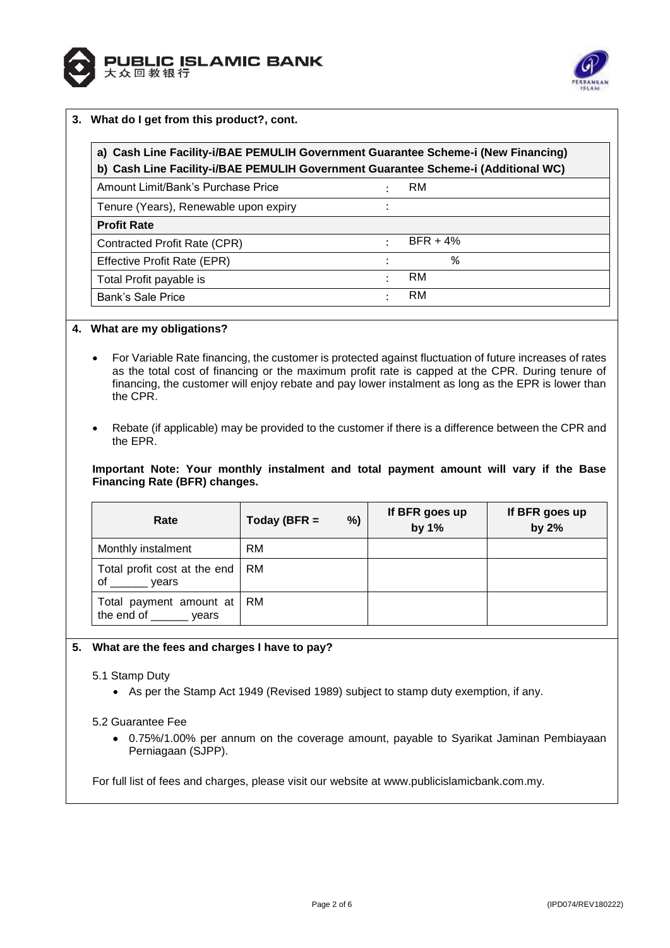



# **3. What do I get from this product?, cont.**

| a) Cash Line Facility-i/BAE PEMULIH Government Guarantee Scheme-i (New Financing)<br>b) Cash Line Facility-i/BAE PEMULIH Government Guarantee Scheme-i (Additional WC) |                      |            |
|------------------------------------------------------------------------------------------------------------------------------------------------------------------------|----------------------|------------|
| Amount Limit/Bank's Purchase Price                                                                                                                                     | $\ddot{\cdot}$       | RM         |
| Tenure (Years), Renewable upon expiry                                                                                                                                  |                      |            |
| <b>Profit Rate</b>                                                                                                                                                     |                      |            |
| Contracted Profit Rate (CPR)                                                                                                                                           | ٠                    | $BFR + 4%$ |
| Effective Profit Rate (EPR)                                                                                                                                            |                      | %          |
| Total Profit payable is                                                                                                                                                | $\ddot{\phantom{a}}$ | RM         |
| Bank's Sale Price                                                                                                                                                      |                      | RM         |

# **4. What are my obligations?**

- For Variable Rate financing, the customer is protected against fluctuation of future increases of rates as the total cost of financing or the maximum profit rate is capped at the CPR. During tenure of financing, the customer will enjoy rebate and pay lower instalment as long as the EPR is lower than the CPR.
- Rebate (if applicable) may be provided to the customer if there is a difference between the CPR and the EPR.

**Important Note: Your monthly instalment and total payment amount will vary if the Base Financing Rate (BFR) changes.**

| Rate                                                 | Today (BFR $=$ | %) | If BFR goes up<br>by $1%$ | If BFR goes up<br>by 2% |
|------------------------------------------------------|----------------|----|---------------------------|-------------------------|
| Monthly instalment                                   | <b>RM</b>      |    |                           |                         |
| Total profit cost at the end<br>οf<br>vears          | <b>RM</b>      |    |                           |                         |
| Total payment amount at<br>the end of ________ years | RM             |    |                           |                         |

## **5. What are the fees and charges I have to pay?**

## 5.1 Stamp Duty

As per the Stamp Act 1949 (Revised 1989) subject to stamp duty exemption, if any.

## 5.2 Guarantee Fee

 0.75%/1.00% per annum on the coverage amount, payable to Syarikat Jaminan Pembiayaan Perniagaan (SJPP).

For full list of fees and charges, please visit our website at www.publicislamicbank.com.my.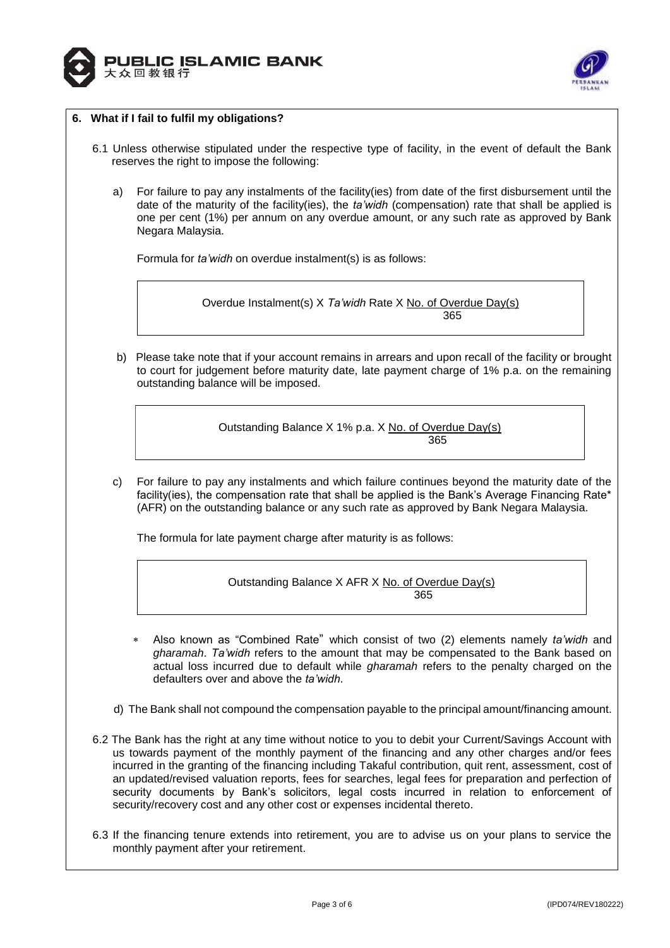



## **6. What if I fail to fulfil my obligations?**

- 6.1 Unless otherwise stipulated under the respective type of facility, in the event of default the Bank reserves the right to impose the following:
	- a) For failure to pay any instalments of the facility(ies) from date of the first disbursement until the date of the maturity of the facility(ies), the *ta'widh* (compensation) rate that shall be applied is one per cent (1%) per annum on any overdue amount, or any such rate as approved by Bank Negara Malaysia.

Formula for *ta'widh* on overdue instalment(s) is as follows:

Overdue Instalment(s) X *Ta'widh* Rate X No. of Overdue Day(s) 365

b) Please take note that if your account remains in arrears and upon recall of the facility or brought to court for judgement before maturity date, late payment charge of 1% p.a. on the remaining outstanding balance will be imposed.

Outstanding Balance X 1% p.a. X No. of Overdue Day(s) <u>365 - Johann Barnett, martin (h. 1865).</u>

c) For failure to pay any instalments and which failure continues beyond the maturity date of the facility(ies), the compensation rate that shall be applied is the Bank's Average Financing Rate\* (AFR) on the outstanding balance or any such rate as approved by Bank Negara Malaysia.

The formula for late payment charge after maturity is as follows:

Outstanding Balance X AFR X No. of Overdue Day(s) <u>365 - 1992 - 1993 - 1993 - 1993 - 1994 - 1995 - 1996 - 1997 - 1998 - 1999 - 1999 - 1999 - 1999 - 1999 - 1999 </u>

- Also known as "Combined Rate" which consist of two (2) elements namely *ta'widh* and *gharamah*. *Ta'widh* refers to the amount that may be compensated to the Bank based on actual loss incurred due to default while *gharamah* refers to the penalty charged on the defaulters over and above the *ta'widh*.
- d) The Bank shall not compound the compensation payable to the principal amount/financing amount.
- 6.2 The Bank has the right at any time without notice to you to debit your Current/Savings Account with us towards payment of the monthly payment of the financing and any other charges and/or fees incurred in the granting of the financing including Takaful contribution, quit rent, assessment, cost of an updated/revised valuation reports, fees for searches, legal fees for preparation and perfection of security documents by Bank's solicitors, legal costs incurred in relation to enforcement of security/recovery cost and any other cost or expenses incidental thereto.
- 6.3 If the financing tenure extends into retirement, you are to advise us on your plans to service the monthly payment after your retirement.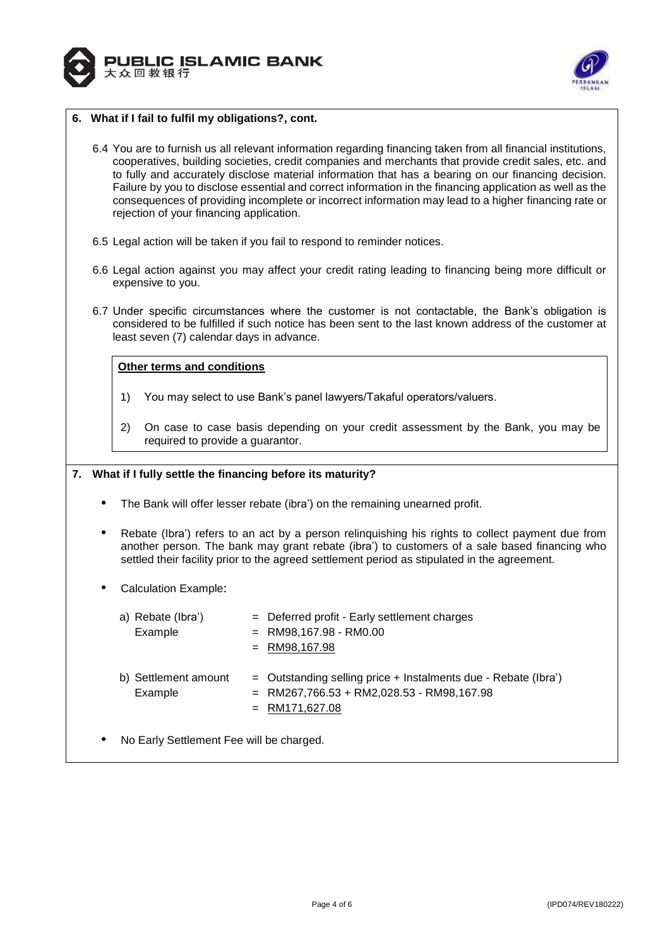



## **6. What if I fail to fulfil my obligations?, cont.**

- 6.4 You are to furnish us all relevant information regarding financing taken from all financial institutions, cooperatives, building societies, credit companies and merchants that provide credit sales, etc. and to fully and accurately disclose material information that has a bearing on our financing decision. Failure by you to disclose essential and correct information in the financing application as well as the consequences of providing incomplete or incorrect information may lead to a higher financing rate or rejection of your financing application.
- 6.5 Legal action will be taken if you fail to respond to reminder notices.
- 6.6 Legal action against you may affect your credit rating leading to financing being more difficult or expensive to you.
- 6.7 Under specific circumstances where the customer is not contactable, the Bank's obligation is considered to be fulfilled if such notice has been sent to the last known address of the customer at least seven (7) calendar days in advance.

#### **Other terms and conditions**

- 1) You may select to use Bank's panel lawyers/Takaful operators/valuers.
- 2) On case to case basis depending on your credit assessment by the Bank, you may be required to provide a guarantor.

#### **7. What if I fully settle the financing before its maturity?**

- The Bank will offer lesser rebate (ibra') on the remaining unearned profit.
- Rebate (Ibra') refers to an act by a person relinquishing his rights to collect payment due from another person. The bank may grant rebate (ibra') to customers of a sale based financing who settled their facility prior to the agreed settlement period as stipulated in the agreement.
- Calculation Example:

| a) Rebate (Ibra')               | = Deferred profit - Early settlement charges                                                                                        |
|---------------------------------|-------------------------------------------------------------------------------------------------------------------------------------|
| Example                         | $=$ RM98,167.98 - RM0.00                                                                                                            |
|                                 | $=$ RM98,167.98                                                                                                                     |
| b) Settlement amount<br>Example | $=$ Outstanding selling price + Instalments due - Rebate (Ibra')<br>$=$ RM267,766.53 + RM2,028.53 - RM98,167.98<br>$=$ RM171,627.08 |
|                                 |                                                                                                                                     |

No Early Settlement Fee will be charged.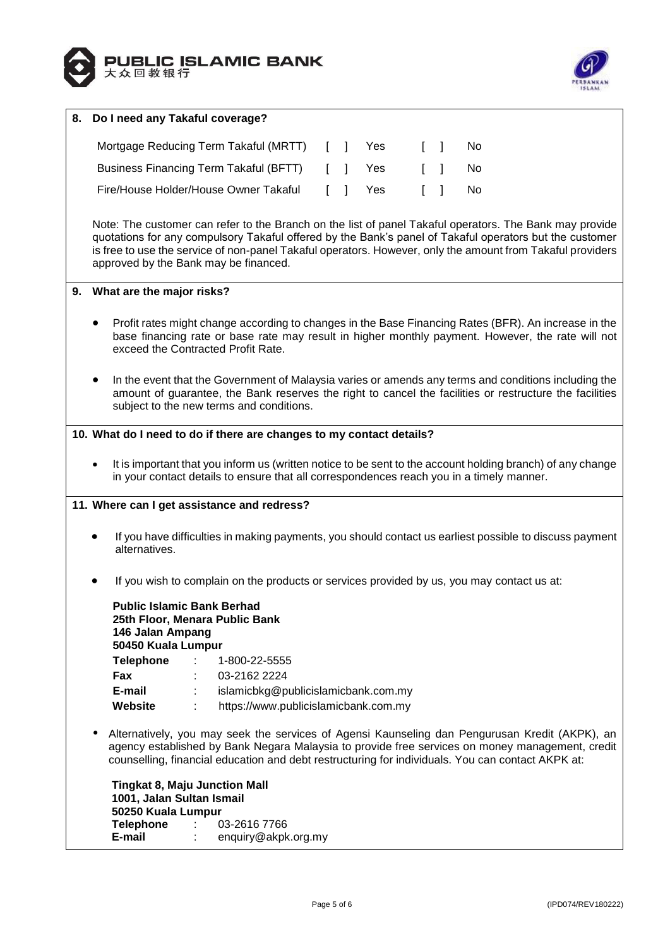



| 8. | Do I need any Takaful coverage?                                                                                                                                                                                                                                                                        |  |  |  |
|----|--------------------------------------------------------------------------------------------------------------------------------------------------------------------------------------------------------------------------------------------------------------------------------------------------------|--|--|--|
|    | Mortgage Reducing Term Takaful (MRTT)<br>Yes<br><b>No</b><br>-1<br>$\begin{bmatrix} 1 \end{bmatrix}$<br>L                                                                                                                                                                                              |  |  |  |
|    |                                                                                                                                                                                                                                                                                                        |  |  |  |
|    | <b>Business Financing Term Takaful (BFTT)</b><br>Yes<br>ſ.<br><b>No</b><br>-1                                                                                                                                                                                                                          |  |  |  |
|    | Fire/House Holder/House Owner Takaful<br>Yes<br>1<br>No                                                                                                                                                                                                                                                |  |  |  |
|    |                                                                                                                                                                                                                                                                                                        |  |  |  |
|    | Note: The customer can refer to the Branch on the list of panel Takaful operators. The Bank may provide<br>quotations for any compulsory Takaful offered by the Bank's panel of Takaful operators but the customer                                                                                     |  |  |  |
|    | is free to use the service of non-panel Takaful operators. However, only the amount from Takaful providers<br>approved by the Bank may be financed.                                                                                                                                                    |  |  |  |
|    |                                                                                                                                                                                                                                                                                                        |  |  |  |
|    | 9. What are the major risks?                                                                                                                                                                                                                                                                           |  |  |  |
|    | Profit rates might change according to changes in the Base Financing Rates (BFR). An increase in the<br>base financing rate or base rate may result in higher monthly payment. However, the rate will not<br>exceed the Contracted Profit Rate.                                                        |  |  |  |
|    | In the event that the Government of Malaysia varies or amends any terms and conditions including the<br>amount of guarantee, the Bank reserves the right to cancel the facilities or restructure the facilities<br>subject to the new terms and conditions.                                            |  |  |  |
|    | 10. What do I need to do if there are changes to my contact details?                                                                                                                                                                                                                                   |  |  |  |
|    |                                                                                                                                                                                                                                                                                                        |  |  |  |
|    | It is important that you inform us (written notice to be sent to the account holding branch) of any change<br>in your contact details to ensure that all correspondences reach you in a timely manner.                                                                                                 |  |  |  |
|    | 11. Where can I get assistance and redress?                                                                                                                                                                                                                                                            |  |  |  |
|    |                                                                                                                                                                                                                                                                                                        |  |  |  |
|    | If you have difficulties in making payments, you should contact us earliest possible to discuss payment<br>alternatives.                                                                                                                                                                               |  |  |  |
|    | If you wish to complain on the products or services provided by us, you may contact us at:                                                                                                                                                                                                             |  |  |  |
|    | <b>Public Islamic Bank Berhad</b>                                                                                                                                                                                                                                                                      |  |  |  |
|    | 25th Floor, Menara Public Bank<br>146 Jalan Ampang                                                                                                                                                                                                                                                     |  |  |  |
|    | 50450 Kuala Lumpur                                                                                                                                                                                                                                                                                     |  |  |  |
|    | <b>Telephone</b><br>÷<br>1-800-22-5555                                                                                                                                                                                                                                                                 |  |  |  |
|    | Fax<br>03-2162 2224                                                                                                                                                                                                                                                                                    |  |  |  |
|    | E-mail<br>islamicbkg@publicislamicbank.com.my                                                                                                                                                                                                                                                          |  |  |  |
|    | https://www.publicislamicbank.com.my<br>Website                                                                                                                                                                                                                                                        |  |  |  |
|    | Alternatively, you may seek the services of Agensi Kaunseling dan Pengurusan Kredit (AKPK), an<br>agency established by Bank Negara Malaysia to provide free services on money management, credit<br>counselling, financial education and debt restructuring for individuals. You can contact AKPK at: |  |  |  |
|    | <b>Tingkat 8, Maju Junction Mall</b>                                                                                                                                                                                                                                                                   |  |  |  |
|    | 1001, Jalan Sultan Ismail<br>50250 Kuala Lumpur                                                                                                                                                                                                                                                        |  |  |  |
|    | <b>Telephone</b><br>03-2616 7766                                                                                                                                                                                                                                                                       |  |  |  |
|    | E-mail<br>enquiry@akpk.org.my                                                                                                                                                                                                                                                                          |  |  |  |